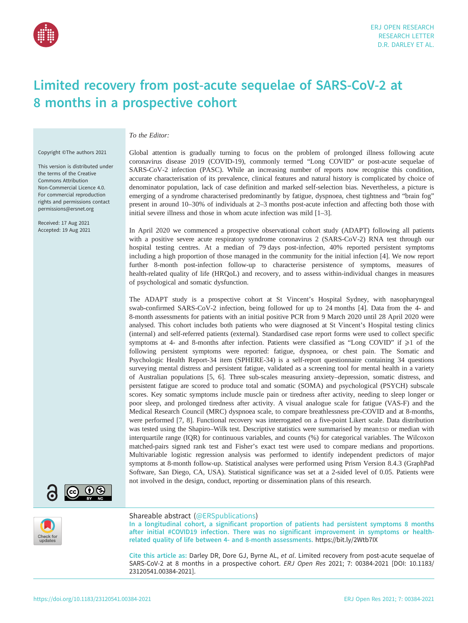

## Limited recovery from post-acute sequelae of SARS-CoV-2 at 8 months in a prospective cohort

To the Editor:

Copyright ©The authors 2021

This version is distributed under the terms of the Creative Commons Attribution Non-Commercial Licence 4.0. For commercial reproduction rights and permissions contact [permissions@ersnet.org](mailto:permissions@ersnet.org)

Received: 17 Aug 2021 Accepted: 19 Aug 2021

Global attention is gradually turning to focus on the problem of prolonged illness following acute coronavirus disease 2019 (COVID-19), commonly termed "Long COVID" or post-acute sequelae of SARS-CoV-2 infection (PASC). While an increasing number of reports now recognise this condition, accurate characterisation of its prevalence, clinical features and natural history is complicated by choice of denominator population, lack of case definition and marked self-selection bias. Nevertheless, a picture is emerging of a syndrome characterised predominantly by fatigue, dyspnoea, chest tightness and "brain fog" present in around 10–30% of individuals at 2–3 months post-acute infection and affecting both those with initial severe illness and those in whom acute infection was mild [[1](#page-3-0)–[3](#page-3-0)].

In April 2020 we commenced a prospective observational cohort study (ADAPT) following all patients with a positive severe acute respiratory syndrome coronavirus 2 (SARS-CoV-2) RNA test through our hospital testing centres. At a median of 79 days post-infection, 40% reported persistent symptoms including a high proportion of those managed in the community for the initial infection [[4](#page-3-0)]. We now report further 8-month post-infection follow-up to characterise persistence of symptoms, measures of health-related quality of life (HRQoL) and recovery, and to assess within-individual changes in measures of psychological and somatic dysfunction.

The ADAPT study is a prospective cohort at St Vincent's Hospital Sydney, with nasopharyngeal swab-confirmed SARS-CoV-2 infection, being followed for up to 24 months [[4](#page-3-0)]. Data from the 4- and 8-month assessments for patients with an initial positive PCR from 9 March 2020 until 28 April 2020 were analysed. This cohort includes both patients who were diagnosed at St Vincent's Hospital testing clinics (internal) and self-referred patients (external). Standardised case report forms were used to collect specific symptoms at 4- and 8-months after infection. Patients were classified as "Long COVID" if  $\geq 1$  of the following persistent symptoms were reported: fatigue, dyspnoea, or chest pain. The Somatic and Psychologic Health Report-34 item (SPHERE-34) is a self-report questionnaire containing 34 questions surveying mental distress and persistent fatigue, validated as a screening tool for mental health in a variety of Australian populations [\[5, 6](#page-3-0)]. Three sub-scales measuring anxiety–depression, somatic distress, and persistent fatigue are scored to produce total and somatic (SOMA) and psychological (PSYCH) subscale scores. Key somatic symptoms include muscle pain or tiredness after activity, needing to sleep longer or poor sleep, and prolonged tiredness after activity. A visual analogue scale for fatigue (VAS-F) and the Medical Research Council (MRC) dyspnoea scale, to compare breathlessness pre-COVID and at 8-months, were performed [[7](#page-3-0), [8\]](#page-3-0). Functional recovery was interrogated on a five-point Likert scale. Data distribution was tested using the Shapiro–Wilk test. Descriptive statistics were summarised by mean±sp or median with interquartile range (IQR) for continuous variables, and counts (%) for categorical variables. The Wilcoxon matched-pairs signed rank test and Fisher's exact test were used to compare medians and proportions. Multivariable logistic regression analysis was performed to identify independent predictors of major symptoms at 8-month follow-up. Statistical analyses were performed using Prism Version 8.4.3 (GraphPad Software, San Diego, CA, USA). Statistical significance was set at a 2-sided level of 0.05. Patients were not involved in the design, conduct, reporting or dissemination plans of this research.



## Shareable abstract (@ERSpublications)

In a longitudinal cohort, a significant proportion of patients had persistent symptoms 8 months after initial #COVID19 infection. There was no significant improvement in symptoms or healthrelated quality of life between 4- and 8-month assessments. <https://bit.ly/2Wtb7IX>

Cite this article as: Darley DR, Dore GJ, Byrne AL, et al. Limited recovery from post-acute sequelae of SARS-CoV-2 at 8 months in a prospective cohort. ERJ Open Res 2021; 7: 00384-2021 [\[DOI: 10.1183/](https://doi.org/10.1183/23120541.00384-2021) [23120541.00384-2021\].](https://doi.org/10.1183/23120541.00384-2021)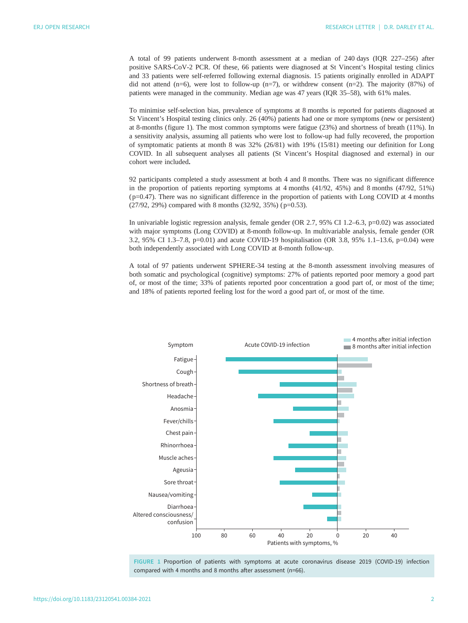A total of 99 patients underwent 8-month assessment at a median of 240 days (IQR 227–256) after positive SARS-CoV-2 PCR. Of these, 66 patients were diagnosed at St Vincent's Hospital testing clinics and 33 patients were self-referred following external diagnosis. 15 patients originally enrolled in ADAPT did not attend  $(n=6)$ , were lost to follow-up  $(n=7)$ , or withdrew consent  $(n=2)$ . The majority (87%) of patients were managed in the community. Median age was 47 years (IQR 35–58), with 61% males.

To minimise self-selection bias, prevalence of symptoms at 8 months is reported for patients diagnosed at St Vincent's Hospital testing clinics only. 26 (40%) patients had one or more symptoms (new or persistent) at 8-months (figure 1). The most common symptoms were fatigue (23%) and shortness of breath (11%). In a sensitivity analysis, assuming all patients who were lost to follow-up had fully recovered, the proportion of symptomatic patients at month 8 was 32% (26/81) with 19% (15/81) meeting our definition for Long COVID. In all subsequent analyses all patients (St Vincent's Hospital diagnosed and external) in our cohort were included.

92 participants completed a study assessment at both 4 and 8 months. There was no significant difference in the proportion of patients reporting symptoms at 4 months (41/92, 45%) and 8 months (47/92, 51%) ( p=0.47). There was no significant difference in the proportion of patients with Long COVID at 4 months (27/92, 29%) compared with 8 months (32/92, 35%) ( p=0.53).

In univariable logistic regression analysis, female gender (OR 2.7, 95% CI 1.2–6.3, p=0.02) was associated with major symptoms (Long COVID) at 8-month follow-up. In multivariable analysis, female gender (OR 3.2, 95% CI 1.3–7.8, p=0.01) and acute COVID-19 hospitalisation (OR 3.8, 95% 1.1–13.6, p=0.04) were both independently associated with Long COVID at 8-month follow-up.

A total of 97 patients underwent SPHERE-34 testing at the 8-month assessment involving measures of both somatic and psychological (cognitive) symptoms: 27% of patients reported poor memory a good part of, or most of the time; 33% of patients reported poor concentration a good part of, or most of the time; and 18% of patients reported feeling lost for the word a good part of, or most of the time.



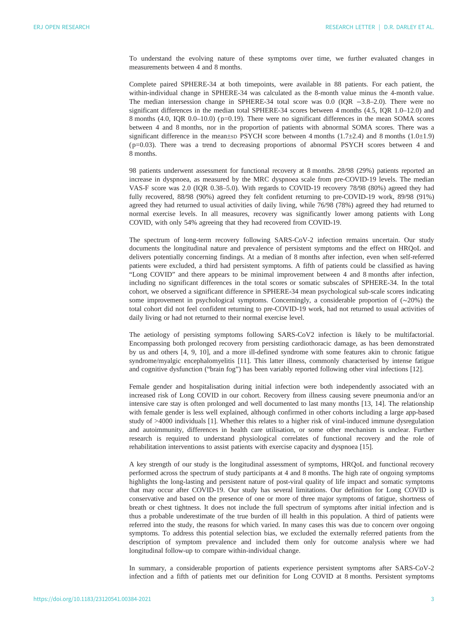To understand the evolving nature of these symptoms over time, we further evaluated changes in measurements between 4 and 8 months.

Complete paired SPHERE-34 at both timepoints, were available in 88 patients. For each patient, the within-individual change in SPHERE-34 was calculated as the 8-month value minus the 4-month value. The median intersession change in SPHERE-34 total score was 0.0 (IQR −3.8–2.0). There were no significant differences in the median total SPHERE-34 scores between 4 months (4.5, IQR 1.0–12.0) and 8 months (4.0, IQR 0.0–10.0) ( p=0.19). There were no significant differences in the mean SOMA scores between 4 and 8 months, nor in the proportion of patients with abnormal SOMA scores. There was a significant difference in the mean±sp PSYCH score between 4 months  $(1.7\pm2.4)$  and 8 months  $(1.0\pm1.9)$ ( p=0.03). There was a trend to decreasing proportions of abnormal PSYCH scores between 4 and 8 months.

98 patients underwent assessment for functional recovery at 8 months. 28/98 (29%) patients reported an increase in dyspnoea, as measured by the MRC dyspnoea scale from pre-COVID-19 levels. The median VAS-F score was 2.0 (IQR 0.38–5.0). With regards to COVID-19 recovery 78/98 (80%) agreed they had fully recovered, 88/98 (90%) agreed they felt confident returning to pre-COVID-19 work, 89/98 (91%) agreed they had returned to usual activities of daily living, while 76/98 (78%) agreed they had returned to normal exercise levels. In all measures, recovery was significantly lower among patients with Long COVID, with only 54% agreeing that they had recovered from COVID-19.

The spectrum of long-term recovery following SARS-CoV-2 infection remains uncertain. Our study documents the longitudinal nature and prevalence of persistent symptoms and the effect on HRQoL and delivers potentially concerning findings. At a median of 8 months after infection, even when self-referred patients were excluded, a third had persistent symptoms. A fifth of patients could be classified as having "Long COVID" and there appears to be minimal improvement between 4 and 8 months after infection, including no significant differences in the total scores or somatic subscales of SPHERE-34. In the total cohort, we observed a significant difference in SPHERE-34 mean psychological sub-scale scores indicating some improvement in psychological symptoms. Concerningly, a considerable proportion of (∼20%) the total cohort did not feel confident returning to pre-COVID-19 work, had not returned to usual activities of daily living or had not returned to their normal exercise level.

The aetiology of persisting symptoms following SARS-CoV2 infection is likely to be multifactorial. Encompassing both prolonged recovery from persisting cardiothoracic damage, as has been demonstrated by us and others [\[4,](#page-3-0) [9](#page-4-0), [10\]](#page-4-0), and a more ill-defined syndrome with some features akin to chronic fatigue syndrome/myalgic encephalomyelitis [[11\]](#page-4-0). This latter illness, commonly characterised by intense fatigue and cognitive dysfunction ("brain fog") has been variably reported following other viral infections [\[12](#page-4-0)].

Female gender and hospitalisation during initial infection were both independently associated with an increased risk of Long COVID in our cohort. Recovery from illness causing severe pneumonia and/or an intensive care stay is often prolonged and well documented to last many months [\[13](#page-4-0), [14](#page-4-0)]. The relationship with female gender is less well explained, although confirmed in other cohorts including a large app-based study of >4000 individuals [[1](#page-3-0)]. Whether this relates to a higher risk of viral-induced immune dysregulation and autoimmunity, differences in health care utilisation, or some other mechanism is unclear. Further research is required to understand physiological correlates of functional recovery and the role of rehabilitation interventions to assist patients with exercise capacity and dyspnoea [\[15](#page-4-0)].

A key strength of our study is the longitudinal assessment of symptoms, HRQoL and functional recovery performed across the spectrum of study participants at 4 and 8 months. The high rate of ongoing symptoms highlights the long-lasting and persistent nature of post-viral quality of life impact and somatic symptoms that may occur after COVID-19. Our study has several limitations. Our definition for Long COVID is conservative and based on the presence of one or more of three major symptoms of fatigue, shortness of breath or chest tightness. It does not include the full spectrum of symptoms after initial infection and is thus a probable underestimate of the true burden of ill health in this population. A third of patients were referred into the study, the reasons for which varied. In many cases this was due to concern over ongoing symptoms. To address this potential selection bias, we excluded the externally referred patients from the description of symptom prevalence and included them only for outcome analysis where we had longitudinal follow-up to compare within-individual change.

In summary, a considerable proportion of patients experience persistent symptoms after SARS-CoV-2 infection and a fifth of patients met our definition for Long COVID at 8 months. Persistent symptoms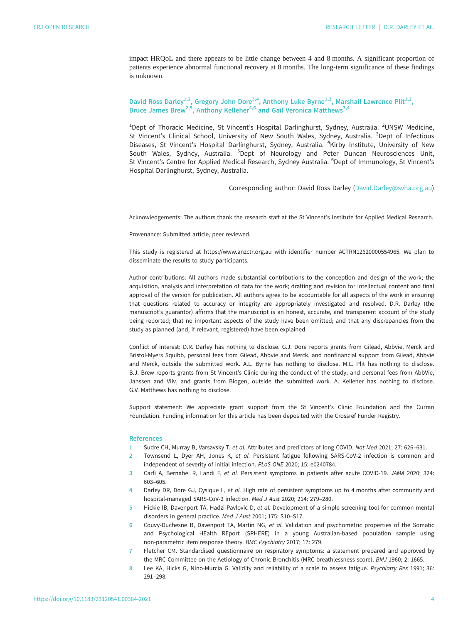<span id="page-3-0"></span>impact HRQoL and there appears to be little change between 4 and 8 months. A significant proportion of patients experience abnormal functional recovery at 8 months. The long-term significance of these findings is unknown.

David Ross Darley<sup>1,2</sup>, Gregory John Dore<sup>3,4</sup>, Anthony Luke Byrne<sup>1,2</sup>, Marshall Lawrence Plit<sup>1,2</sup>, Bruce James Brew<sup>2,5</sup>, Anthony Kelleher<sup>4,6</sup> and Gail Veronica Matthews<sup>3,4</sup>

<sup>1</sup>Dept of Thoracic Medicine, St Vincent's Hospital Darlinghurst, Sydney, Australia. <sup>2</sup>UNSW Medicine, St Vincent's Clinical School, University of New South Wales, Sydney, Australia. <sup>3</sup>Dept of Infectious Diseases, St Vincent's Hospital Darlinghurst, Sydney, Australia. <sup>4</sup>Kirby Institute, University of New South Wales, Sydney, Australia. <sup>5</sup>Dept of Neurology and Peter Duncan Neurosciences Unit, St Vincent's Centre for Applied Medical Research, Sydney Australia. <sup>6</sup>Dept of Immunology, St Vincent's Hospital Darlinghurst, Sydney, Australia.

Corresponding author: David Ross Darley [\(David.Darley@svha.org.au](mailto:David.Darley@svha.org.au))

Acknowledgements: The authors thank the research staff at the St Vincent's Institute for Applied Medical Research.

Provenance: Submitted article, peer reviewed.

This study is registered at<https://www.anzctr.org.au> with identifier number ACTRN12620000554965. We plan to disseminate the results to study participants.

Author contributions: All authors made substantial contributions to the conception and design of the work; the acquisition, analysis and interpretation of data for the work; drafting and revision for intellectual content and final approval of the version for publication. All authors agree to be accountable for all aspects of the work in ensuring that questions related to accuracy or integrity are appropriately investigated and resolved. D.R. Darley (the manuscript's guarantor) affirms that the manuscript is an honest, accurate, and transparent account of the study being reported; that no important aspects of the study have been omitted; and that any discrepancies from the study as planned (and, if relevant, registered) have been explained.

Conflict of interest: D.R. Darley has nothing to disclose. G.J. Dore reports grants from Gilead, Abbvie, Merck and Bristol-Myers Squibb, personal fees from Gilead, Abbvie and Merck, and nonfinancial support from Gilead, Abbvie and Merck, outside the submitted work. A.L. Byrne has nothing to disclose. M.L. Plit has nothing to disclose. B.J. Brew reports grants from St Vincent's Clinic during the conduct of the study; and personal fees from AbbVie, Janssen and Viiv, and grants from Biogen, outside the submitted work. A. Kelleher has nothing to disclose. G.V. Matthews has nothing to disclose.

Support statement: We appreciate grant support from the St Vincent's Clinic Foundation and the Curran Foundation. Funding information for this article has been deposited with the [Crossref Funder Registry.](https://www.crossref.org/services/funder-registry/)

## **References**

- 1 Sudre CH, Murray B, Varsavsky T, et al. Attributes and predictors of long COVID. Nat Med 2021; 27: 626–631.
- 2 Townsend L, Dyer AH, Jones K, et al. Persistent fatigue following SARS-CoV-2 infection is common and independent of severity of initial infection. PLoS ONE 2020; 15: e0240784.
- 3 Carfi A, Bernabei R, Landi F, et al. Persistent symptoms in patients after acute COVID-19. JAMA 2020; 324: 603–605.
- 4 Darley DR, Dore GJ, Cysique L, et al. High rate of persistent symptoms up to 4 months after community and hospital-managed SARS-CoV-2 infection. Med J Aust 2020; 214: 279–280.
- 5 Hickie IB, Davenport TA, Hadzi-Pavlovic D, et al. Development of a simple screening tool for common mental disorders in general practice. Med J Aust 2001; 175: S10–S17.
- 6 Couvy-Duchesne B, Davenport TA, Martin NG, et al. Validation and psychometric properties of the Somatic and Psychological HEalth REport (SPHERE) in a young Australian-based population sample using non-parametric item response theory. BMC Psychiatry 2017; 17: 279.
- 7 Fletcher CM. Standardised questionnaire on respiratory symptoms: a statement prepared and approved by the MRC Committee on the Aetiology of Chronic Bronchitis (MRC breathlessness score). BMJ 1960; 2: 1665.
- 8 Lee KA, Hicks G, Nino-Murcia G. Validity and reliability of a scale to assess fatigue. Psychiatry Res 1991; 36: 291–298.